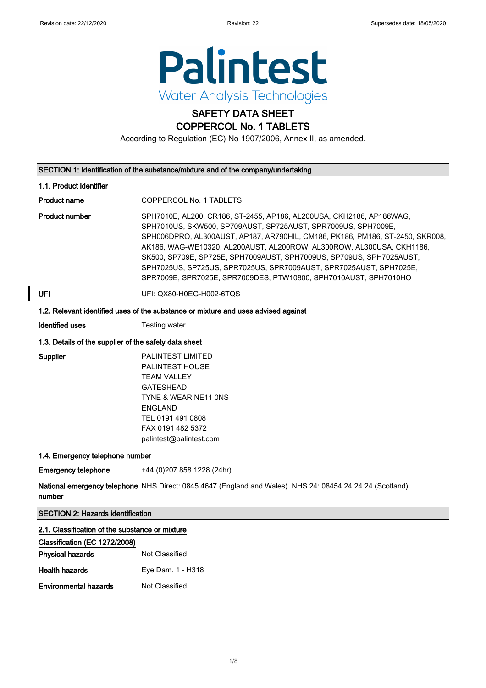

## SAFETY DATA SHEET

## COPPERCOL No. 1 TABLETS

According to Regulation (EC) No 1907/2006, Annex II, as amended.

| SECTION 1: Identification of the substance/mixture and of the company/undertaking  |                                                                                                                                                                                                                                                                                                                                                                                                                                                                                                                   |
|------------------------------------------------------------------------------------|-------------------------------------------------------------------------------------------------------------------------------------------------------------------------------------------------------------------------------------------------------------------------------------------------------------------------------------------------------------------------------------------------------------------------------------------------------------------------------------------------------------------|
| 1.1. Product identifier                                                            |                                                                                                                                                                                                                                                                                                                                                                                                                                                                                                                   |
| <b>Product name</b>                                                                | COPPERCOL No. 1 TABLETS                                                                                                                                                                                                                                                                                                                                                                                                                                                                                           |
| <b>Product number</b>                                                              | SPH7010E, AL200, CR186, ST-2455, AP186, AL200USA, CKH2186, AP186WAG,<br>SPH7010US, SKW500, SP709AUST, SP725AUST, SPR7009US, SPH7009E,<br>SPH006DPRO, AL300AUST, AP187, AR790HIL, CM186, PK186, PM186, ST-2450, SKR008,<br>AK186, WAG-WE10320, AL200AUST, AL200ROW, AL300ROW, AL300USA, CKH1186,<br>SK500, SP709E, SP725E, SPH7009AUST, SPH7009US, SP709US, SPH7025AUST,<br>SPH7025US, SP725US, SPR7025US, SPR7009AUST, SPR7025AUST, SPH7025E,<br>SPR7009E, SPR7025E, SPR7009DES, PTW10800, SPH7010AUST, SPH7010HO |
| <b>UFI</b>                                                                         | UFI: QX80-H0EG-H002-6TQS                                                                                                                                                                                                                                                                                                                                                                                                                                                                                          |
| 1.2. Relevant identified uses of the substance or mixture and uses advised against |                                                                                                                                                                                                                                                                                                                                                                                                                                                                                                                   |
| Identified uses                                                                    | Testing water                                                                                                                                                                                                                                                                                                                                                                                                                                                                                                     |
| 1.3. Details of the supplier of the safety data sheet                              |                                                                                                                                                                                                                                                                                                                                                                                                                                                                                                                   |

Supplier PALINTEST LIMITED PALINTEST HOUSE TEAM VALLEY GATESHEAD TYNE & WEAR NE11 0NS ENGLAND TEL 0191 491 0808 FAX 0191 482 5372 palintest@palintest.com

#### 1.4. Emergency telephone number

Emergency telephone +44 (0)207 858 1228 (24hr)

**National emergency telephone** NHS Direct: 0845 4647 (England and Wales) NHS 24: 08454 24 24 24 (Scotland) number

SECTION 2: Hazards identification

#### 2.1. Classification of the substance or mixture

| Classification (EC 1272/2008) |                   |
|-------------------------------|-------------------|
| <b>Physical hazards</b>       | Not Classified    |
| <b>Health hazards</b>         | Eye Dam. 1 - H318 |
| <b>Environmental hazards</b>  | Not Classified    |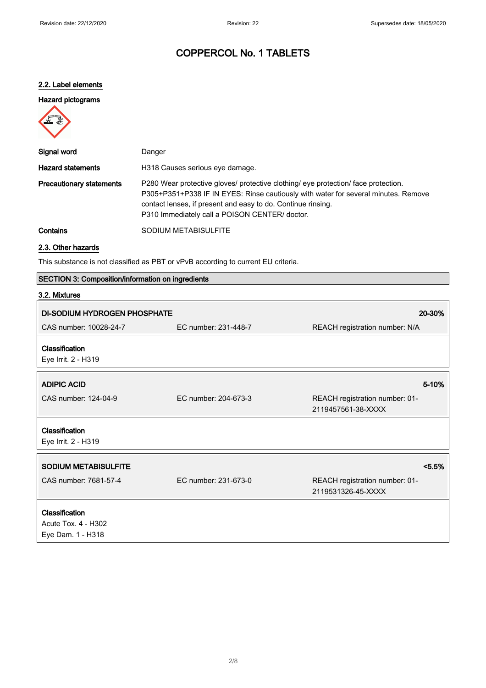#### 2.2. Label elements

#### Hazard pictograms



| Signal word                     | Danger                                                                                                                                                                                                                                                                                     |
|---------------------------------|--------------------------------------------------------------------------------------------------------------------------------------------------------------------------------------------------------------------------------------------------------------------------------------------|
| <b>Hazard statements</b>        | H318 Causes serious eye damage.                                                                                                                                                                                                                                                            |
| <b>Precautionary statements</b> | P280 Wear protective gloves/ protective clothing/ eye protection/ face protection.<br>P305+P351+P338 IF IN EYES: Rinse cautiously with water for several minutes. Remove<br>contact lenses, if present and easy to do. Continue rinsing.<br>P310 Immediately call a POISON CENTER/ doctor. |
| Contains                        | SODIUM METABISULFITE                                                                                                                                                                                                                                                                       |

## 2.3. Other hazards

This substance is not classified as PBT or vPvB according to current EU criteria.

|  | SECTION 3: Composition/information on ingredients |  |  |
|--|---------------------------------------------------|--|--|
|--|---------------------------------------------------|--|--|

| 3.2. Mixtures                                              |                      |                                                      |
|------------------------------------------------------------|----------------------|------------------------------------------------------|
| <b>DI-SODIUM HYDROGEN PHOSPHATE</b>                        |                      | 20-30%                                               |
| CAS number: 10028-24-7                                     | EC number: 231-448-7 | REACH registration number: N/A                       |
| Classification<br>Eye Irrit. 2 - H319                      |                      |                                                      |
| <b>ADIPIC ACID</b>                                         |                      | 5-10%                                                |
| CAS number: 124-04-9                                       | EC number: 204-673-3 | REACH registration number: 01-<br>2119457561-38-XXXX |
| Classification<br>Eye Irrit. 2 - H319                      |                      |                                                      |
| <b>SODIUM METABISULFITE</b>                                |                      | $< 5.5\%$                                            |
| CAS number: 7681-57-4                                      | EC number: 231-673-0 | REACH registration number: 01-<br>2119531326-45-XXXX |
| Classification<br>Acute Tox. 4 - H302<br>Eye Dam. 1 - H318 |                      |                                                      |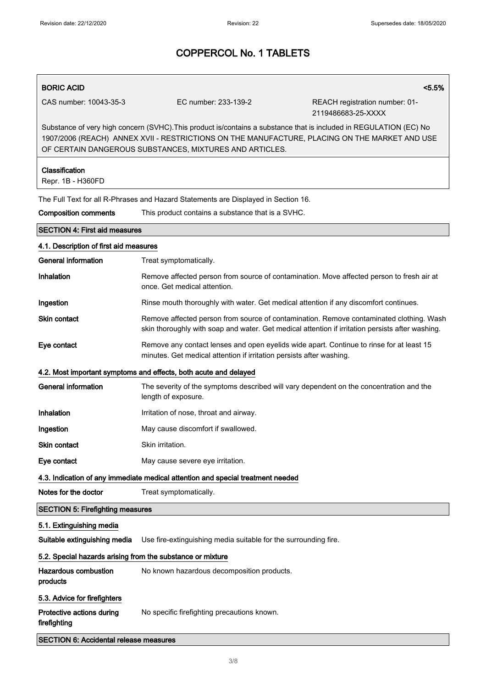# BORIC ACID <5.5% CAS number: 10043-35-3 EC number: 233-139-2 REACH registration number: 01-

2119486683-25-XXXX

Substance of very high concern (SVHC).This product is/contains a substance that is included in REGULATION (EC) No 1907/2006 (REACH) ANNEX XVII - RESTRICTIONS ON THE MANUFACTURE, PLACING ON THE MARKET AND USE OF CERTAIN DANGEROUS SUBSTANCES, MIXTURES AND ARTICLES.

## Classification Repr. 1B - H360FD The Full Text for all R-Phrases and Hazard Statements are Displayed in Section 16. Composition comments This product contains a substance that is a SVHC. SECTION 4: First aid measures 4.1. Description of first aid measures General information Treat symptomatically. Inhalation **Remove affected person from source of contamination**. Move affected person to fresh air at once. Get medical attention. **Ingestion Rinse mouth thoroughly with water. Get medical attention if any discomfort continues.** Skin contact **Remove affected person from source of contamination**. Remove contaminated clothing. Wash skin thoroughly with soap and water. Get medical attention if irritation persists after washing. Eye contact Remove any contact lenses and open eyelids wide apart. Continue to rinse for at least 15 minutes. Get medical attention if irritation persists after washing. 4.2. Most important symptoms and effects, both acute and delayed General information The severity of the symptoms described will vary dependent on the concentration and the length of exposure. Inhalation Irritation of nose, throat and airway. Ingestion May cause discomfort if swallowed. Skin contact Skin irritation. Eye contact May cause severe eye irritation. 4.3. Indication of any immediate medical attention and special treatment needed Notes for the doctor Treat symptomatically. SECTION 5: Firefighting measures 5.1. Extinguishing media Suitable extinguishing media Use fire-extinguishing media suitable for the surrounding fire. 5.2. Special hazards arising from the substance or mixture Hazardous combustion products No known hazardous decomposition products. 5.3. Advice for firefighters Protective actions during firefighting No specific firefighting precautions known.

SECTION 6: Accidental release measures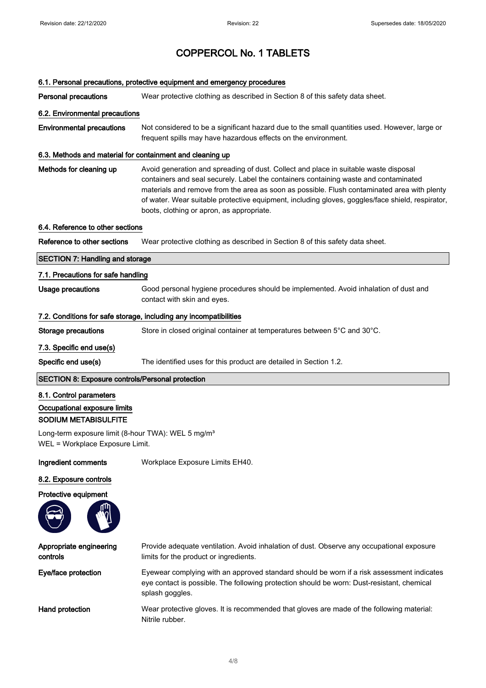#### 6.1. Personal precautions, protective equipment and emergency procedures

**Personal precautions** Wear protective clothing as described in Section 8 of this safety data sheet.

#### 6.2. Environmental precautions

Environmental precautions Not considered to be a significant hazard due to the small quantities used. However, large or frequent spills may have hazardous effects on the environment.

#### 6.3. Methods and material for containment and cleaning up

Methods for cleaning up Avoid generation and spreading of dust. Collect and place in suitable waste disposal containers and seal securely. Label the containers containing waste and contaminated materials and remove from the area as soon as possible. Flush contaminated area with plenty of water. Wear suitable protective equipment, including gloves, goggles/face shield, respirator, boots, clothing or apron, as appropriate.

#### 6.4. Reference to other sections

Reference to other sections Wear protective clothing as described in Section 8 of this safety data sheet.

#### SECTION 7: Handling and storage

#### 7.1. Precautions for safe handling

Usage precautions Good personal hygiene procedures should be implemented. Avoid inhalation of dust and contact with skin and eyes.

#### 7.2. Conditions for safe storage, including any incompatibilities

Storage precautions Store in closed original container at temperatures between 5°C and 30°C.

#### 7.3. Specific end use(s)

Specific end use(s) The identified uses for this product are detailed in Section 1.2.

#### SECTION 8: Exposure controls/Personal protection

#### 8.1. Control parameters

Occupational exposure limits

### SODIUM METABISULFITE

Long-term exposure limit (8-hour TWA): WEL 5 mg/m<sup>3</sup> WEL = Workplace Exposure Limit.

Ingredient comments Workplace Exposure Limits EH40.

#### 8.2. Exposure controls





Appropriate engineering controls Provide adequate ventilation. Avoid inhalation of dust. Observe any occupational exposure limits for the product or ingredients. Eye/face protection Eyewear complying with an approved standard should be worn if a risk assessment indicates eye contact is possible. The following protection should be worn: Dust-resistant, chemical splash goggles. Hand protection **Wear protective gloves.** It is recommended that gloves are made of the following material: Nitrile rubber.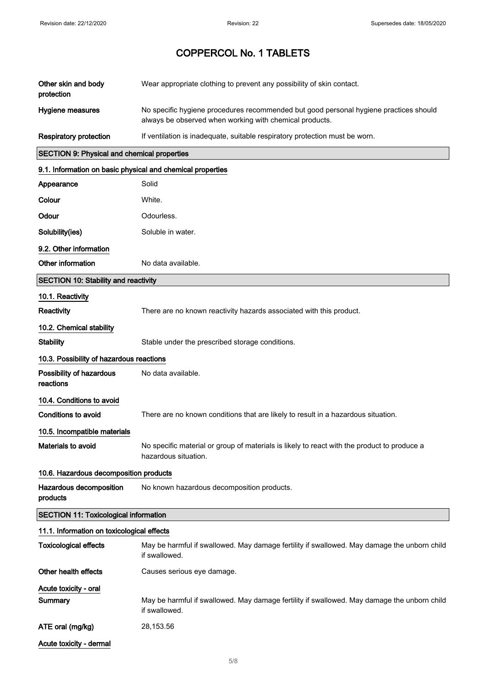| Other skin and body<br>protection                          | Wear appropriate clothing to prevent any possibility of skin contact.                                                                            |
|------------------------------------------------------------|--------------------------------------------------------------------------------------------------------------------------------------------------|
| Hygiene measures                                           | No specific hygiene procedures recommended but good personal hygiene practices should<br>always be observed when working with chemical products. |
| <b>Respiratory protection</b>                              | If ventilation is inadequate, suitable respiratory protection must be worn.                                                                      |
| <b>SECTION 9: Physical and chemical properties</b>         |                                                                                                                                                  |
| 9.1. Information on basic physical and chemical properties |                                                                                                                                                  |
| Appearance                                                 | Solid                                                                                                                                            |
| Colour                                                     | White.                                                                                                                                           |
| Odour                                                      | Odourless.                                                                                                                                       |
| Solubility(ies)                                            | Soluble in water.                                                                                                                                |
| 9.2. Other information                                     |                                                                                                                                                  |
| Other information                                          | No data available.                                                                                                                               |
| <b>SECTION 10: Stability and reactivity</b>                |                                                                                                                                                  |
| 10.1. Reactivity                                           |                                                                                                                                                  |
| Reactivity                                                 | There are no known reactivity hazards associated with this product.                                                                              |
| 10.2. Chemical stability                                   |                                                                                                                                                  |
| <b>Stability</b>                                           | Stable under the prescribed storage conditions.                                                                                                  |
| 10.3. Possibility of hazardous reactions                   |                                                                                                                                                  |
| Possibility of hazardous<br>reactions                      | No data available.                                                                                                                               |
| 10.4. Conditions to avoid                                  |                                                                                                                                                  |
| <b>Conditions to avoid</b>                                 | There are no known conditions that are likely to result in a hazardous situation.                                                                |
| 10.5. Incompatible materials                               |                                                                                                                                                  |
| Materials to avoid                                         | No specific material or group of materials is likely to react with the product to produce a<br>hazardous situation.                              |
| 10.6. Hazardous decomposition products                     |                                                                                                                                                  |
| Hazardous decomposition<br>products                        | No known hazardous decomposition products.                                                                                                       |
| SECTION 11: Toxicological information                      |                                                                                                                                                  |
| 11.1. Information on toxicological effects                 |                                                                                                                                                  |
| <b>Toxicological effects</b>                               | May be harmful if swallowed. May damage fertility if swallowed. May damage the unborn child<br>if swallowed.                                     |
| Other health effects                                       | Causes serious eye damage.                                                                                                                       |
| Acute toxicity - oral                                      |                                                                                                                                                  |
| Summary                                                    | May be harmful if swallowed. May damage fertility if swallowed. May damage the unborn child<br>if swallowed.                                     |
| ATE oral (mg/kg)                                           | 28,153.56                                                                                                                                        |
| Acute toxicity - dermal                                    |                                                                                                                                                  |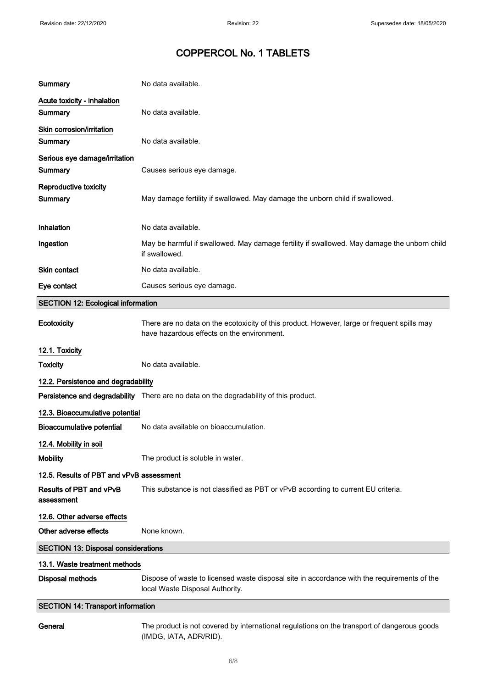| Summary                                    | No data available.                                                                                                                        |  |
|--------------------------------------------|-------------------------------------------------------------------------------------------------------------------------------------------|--|
| Acute toxicity - inhalation<br>Summary     | No data available.                                                                                                                        |  |
| Skin corrosion/irritation<br>Summary       | No data available.                                                                                                                        |  |
| Serious eye damage/irritation<br>Summary   | Causes serious eye damage.                                                                                                                |  |
| Reproductive toxicity<br>Summary           | May damage fertility if swallowed. May damage the unborn child if swallowed.                                                              |  |
| Inhalation                                 | No data available.                                                                                                                        |  |
| Ingestion                                  | May be harmful if swallowed. May damage fertility if swallowed. May damage the unborn child<br>if swallowed.                              |  |
| <b>Skin contact</b>                        | No data available.                                                                                                                        |  |
| Eye contact                                | Causes serious eye damage.                                                                                                                |  |
| <b>SECTION 12: Ecological information</b>  |                                                                                                                                           |  |
| Ecotoxicity                                | There are no data on the ecotoxicity of this product. However, large or frequent spills may<br>have hazardous effects on the environment. |  |
| 12.1. Toxicity                             |                                                                                                                                           |  |
| <b>Toxicity</b>                            | No data available.                                                                                                                        |  |
| 12.2. Persistence and degradability        |                                                                                                                                           |  |
|                                            | Persistence and degradability There are no data on the degradability of this product.                                                     |  |
| 12.3. Bioaccumulative potential            |                                                                                                                                           |  |
| <b>Bioaccumulative potential</b>           | No data available on bioaccumulation.                                                                                                     |  |
| 12.4. Mobility in soil                     |                                                                                                                                           |  |
| <b>Mobility</b>                            | The product is soluble in water.                                                                                                          |  |
| 12.5. Results of PBT and vPvB assessment   |                                                                                                                                           |  |
| Results of PBT and vPvB<br>assessment      | This substance is not classified as PBT or vPvB according to current EU criteria.                                                         |  |
| 12.6. Other adverse effects                |                                                                                                                                           |  |
| Other adverse effects                      | None known.                                                                                                                               |  |
| <b>SECTION 13: Disposal considerations</b> |                                                                                                                                           |  |
| 13.1. Waste treatment methods              |                                                                                                                                           |  |
| <b>Disposal methods</b>                    | Dispose of waste to licensed waste disposal site in accordance with the requirements of the<br>local Waste Disposal Authority.            |  |
| <b>SECTION 14: Transport information</b>   |                                                                                                                                           |  |
| General                                    | The product is not covered by international regulations on the transport of dangerous goods<br>(IMDG, IATA, ADR/RID).                     |  |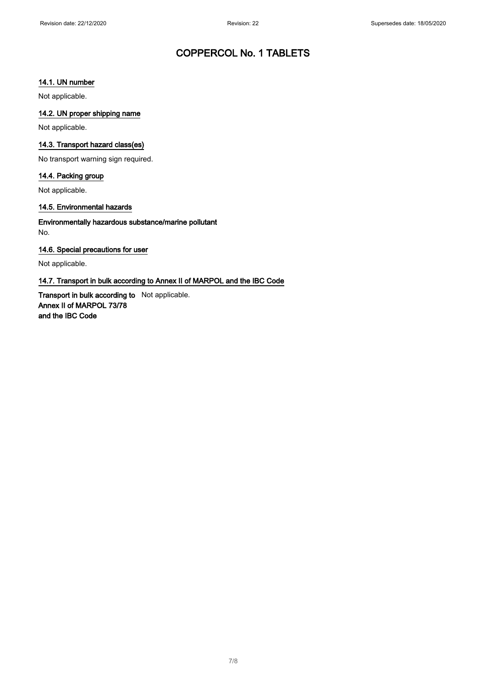#### 14.1. UN number

Not applicable.

#### 14.2. UN proper shipping name

Not applicable.

#### 14.3. Transport hazard class(es)

No transport warning sign required.

#### 14.4. Packing group

Not applicable.

#### 14.5. Environmental hazards

Environmentally hazardous substance/marine pollutant No.

#### 14.6. Special precautions for user

Not applicable.

#### 14.7. Transport in bulk according to Annex II of MARPOL and the IBC Code

Transport in bulk according to Not applicable. Annex II of MARPOL 73/78 and the IBC Code